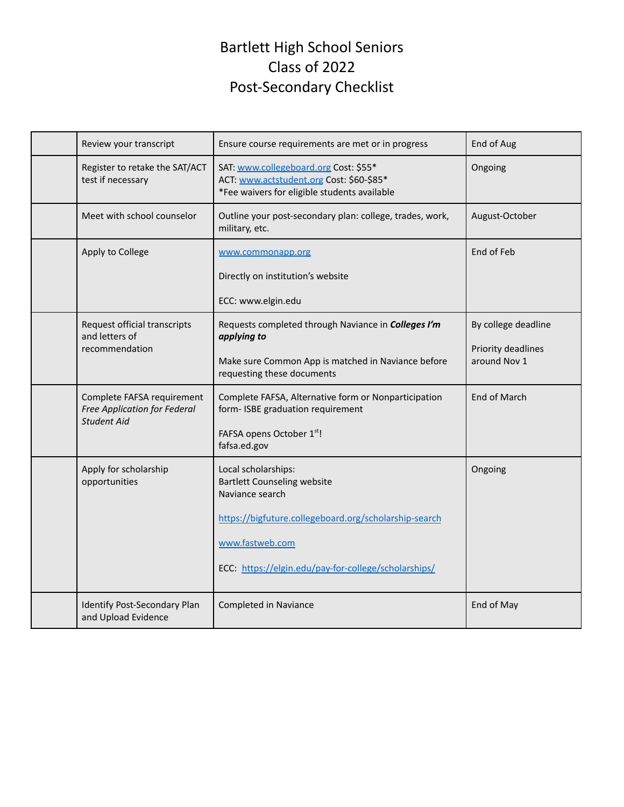# Bartlett High School Seniors Class of 2022 Post-Secondary Checklist

| Review your transcript                                                                  | Ensure course requirements are met or in progress                                                                                                                                                                | End of Aug                                                |
|-----------------------------------------------------------------------------------------|------------------------------------------------------------------------------------------------------------------------------------------------------------------------------------------------------------------|-----------------------------------------------------------|
| Register to retake the SAT/ACT<br>test if necessary                                     | SAT: www.collegeboard.org Cost: \$55*<br>ACT: www.actstudent.org Cost: \$60-\$85*<br>*Fee waivers for eligible students available                                                                                | Ongoing                                                   |
| Meet with school counselor                                                              | Outline your post-secondary plan: college, trades, work,<br>military, etc.                                                                                                                                       | August-October                                            |
| Apply to College                                                                        | www.commonapp.org<br>Directly on institution's website<br>ECC: www.elgin.edu                                                                                                                                     | End of Feb                                                |
| Request official transcripts<br>and letters of<br>recommendation                        | Requests completed through Naviance in Colleges I'm<br>applying to<br>Make sure Common App is matched in Naviance before<br>requesting these documents                                                           | By college deadline<br>Priority deadlines<br>around Nov 1 |
| Complete FAFSA requirement<br><b>Free Application for Federal</b><br><b>Student Aid</b> | Complete FAFSA, Alternative form or Nonparticipation<br>form-ISBE graduation requirement<br>FAFSA opens October 1st!<br>fafsa.ed.gov                                                                             | <b>End of March</b>                                       |
| Apply for scholarship<br>opportunities                                                  | Local scholarships:<br><b>Bartlett Counseling website</b><br>Naviance search<br>https://bigfuture.collegeboard.org/scholarship-search<br>www.fastweb.com<br>ECC: https://elgin.edu/pay-for-college/scholarships/ | Ongoing                                                   |
| Identify Post-Secondary Plan<br>and Upload Evidence                                     | Completed in Naviance                                                                                                                                                                                            | End of May                                                |